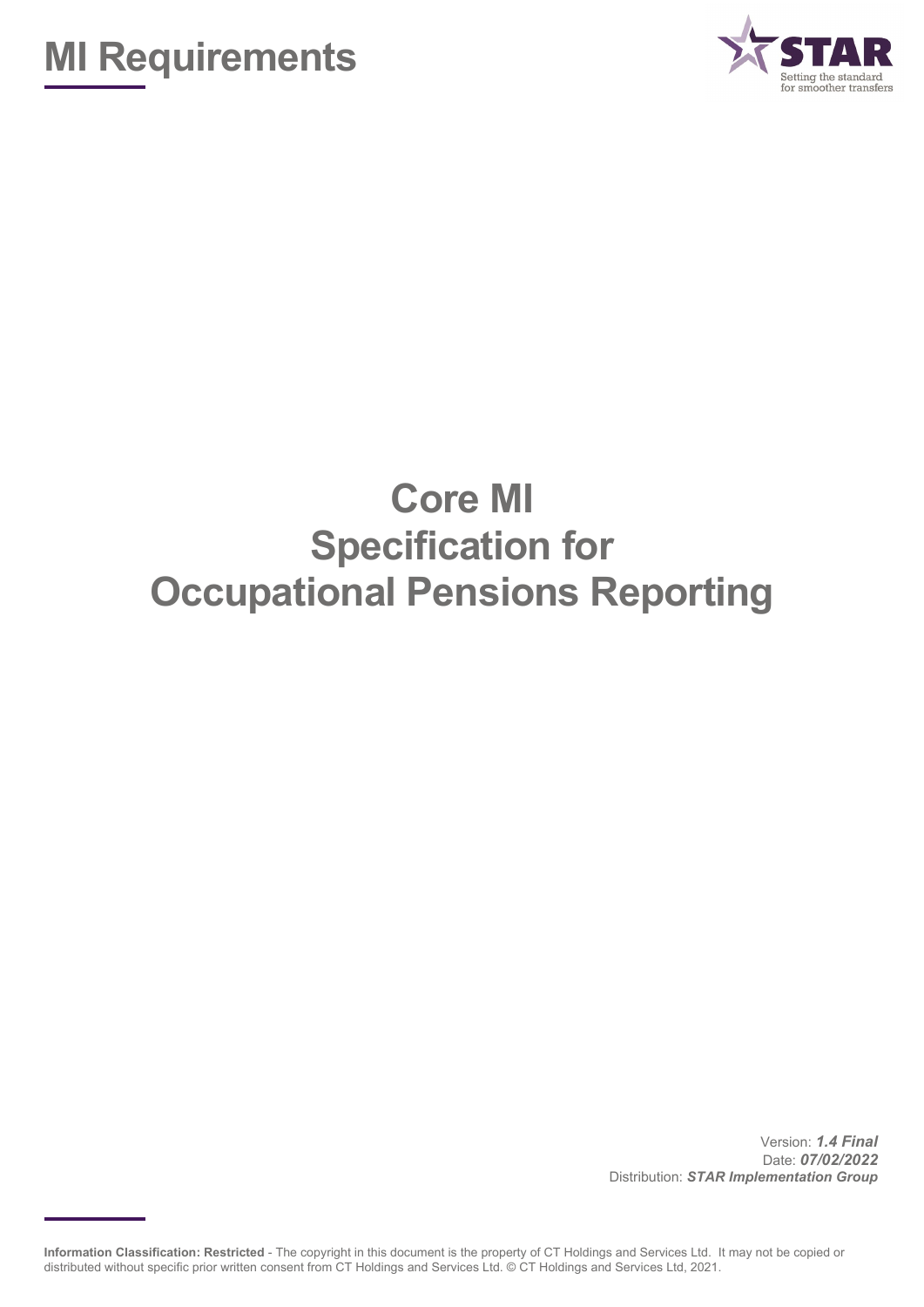



# **Core MI Specification for Occupational Pensions Reporting**

Version: *1.4 Final* Date: *07/02/2022* Distribution: *STAR Implementation Group*

**Information Classification: Restricted** - The copyright in this document is the property of CT Holdings and Services Ltd. It may not be copied or distributed without specific prior written consent from CT Holdings and Services Ltd. © CT Holdings and Services Ltd, 2021.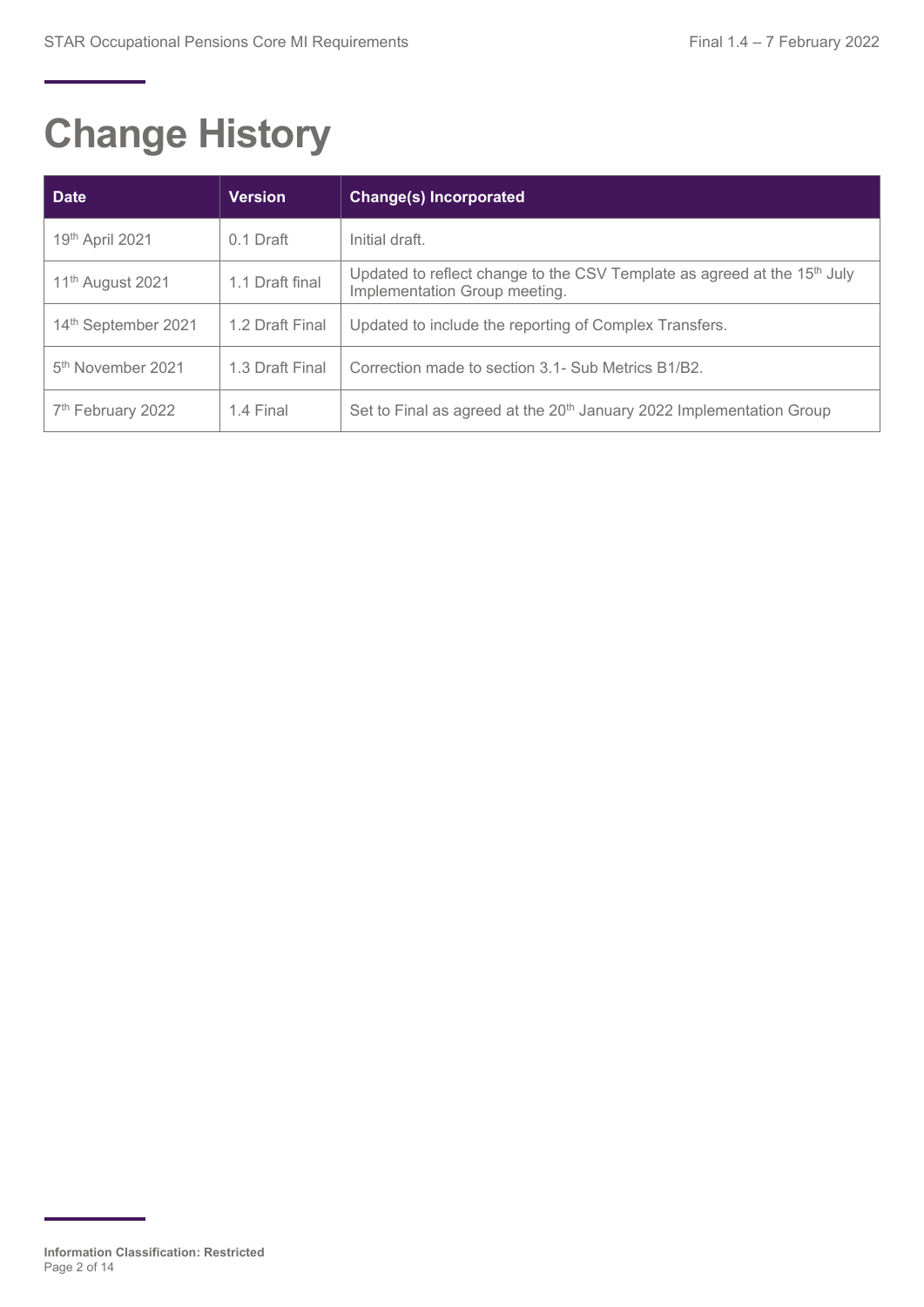# **Change History**

| <b>Date</b>                     | <b>Version</b>  | <b>Change(s) Incorporated</b>                                                                                         |
|---------------------------------|-----------------|-----------------------------------------------------------------------------------------------------------------------|
| 19th April 2021                 | 0.1 Draft       | Initial draft.                                                                                                        |
| 11 <sup>th</sup> August 2021    | 1.1 Draft final | Updated to reflect change to the CSV Template as agreed at the 15 <sup>th</sup> July<br>Implementation Group meeting. |
| 14 <sup>th</sup> September 2021 | 1.2 Draft Final | Updated to include the reporting of Complex Transfers.                                                                |
| 5 <sup>th</sup> November 2021   | 1.3 Draft Final | Correction made to section 3.1- Sub Metrics B1/B2.                                                                    |
| 7 <sup>th</sup> February 2022   | 1.4 Final       | Set to Final as agreed at the 20 <sup>th</sup> January 2022 Implementation Group                                      |

**Information Classification: Restricted** Page 2 of 14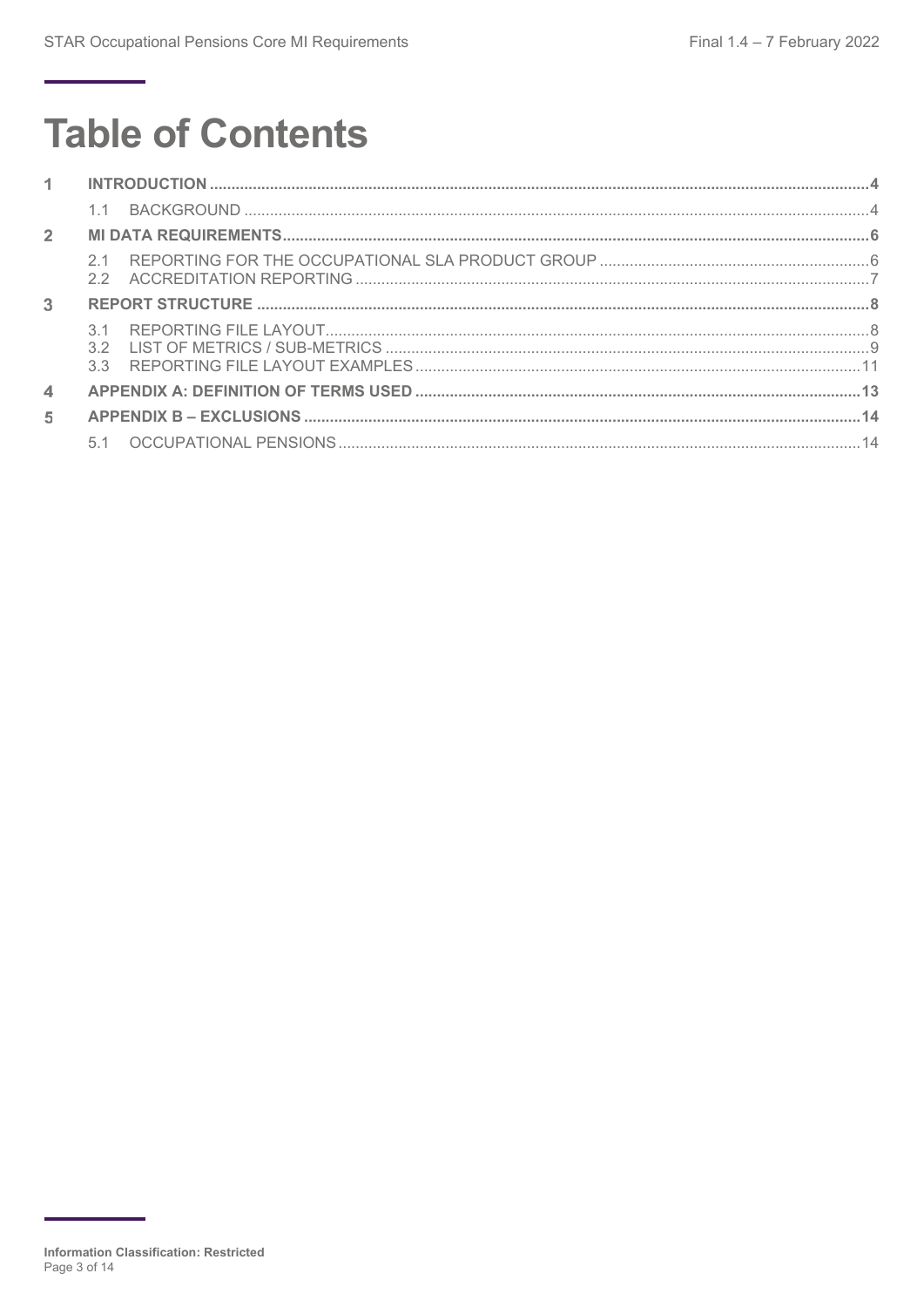# **Table of Contents**

| $1 -$                      |  |
|----------------------------|--|
|                            |  |
| $\overline{2}$             |  |
|                            |  |
| 3                          |  |
|                            |  |
| $\boldsymbol{\mathcal{A}}$ |  |
| 5                          |  |
|                            |  |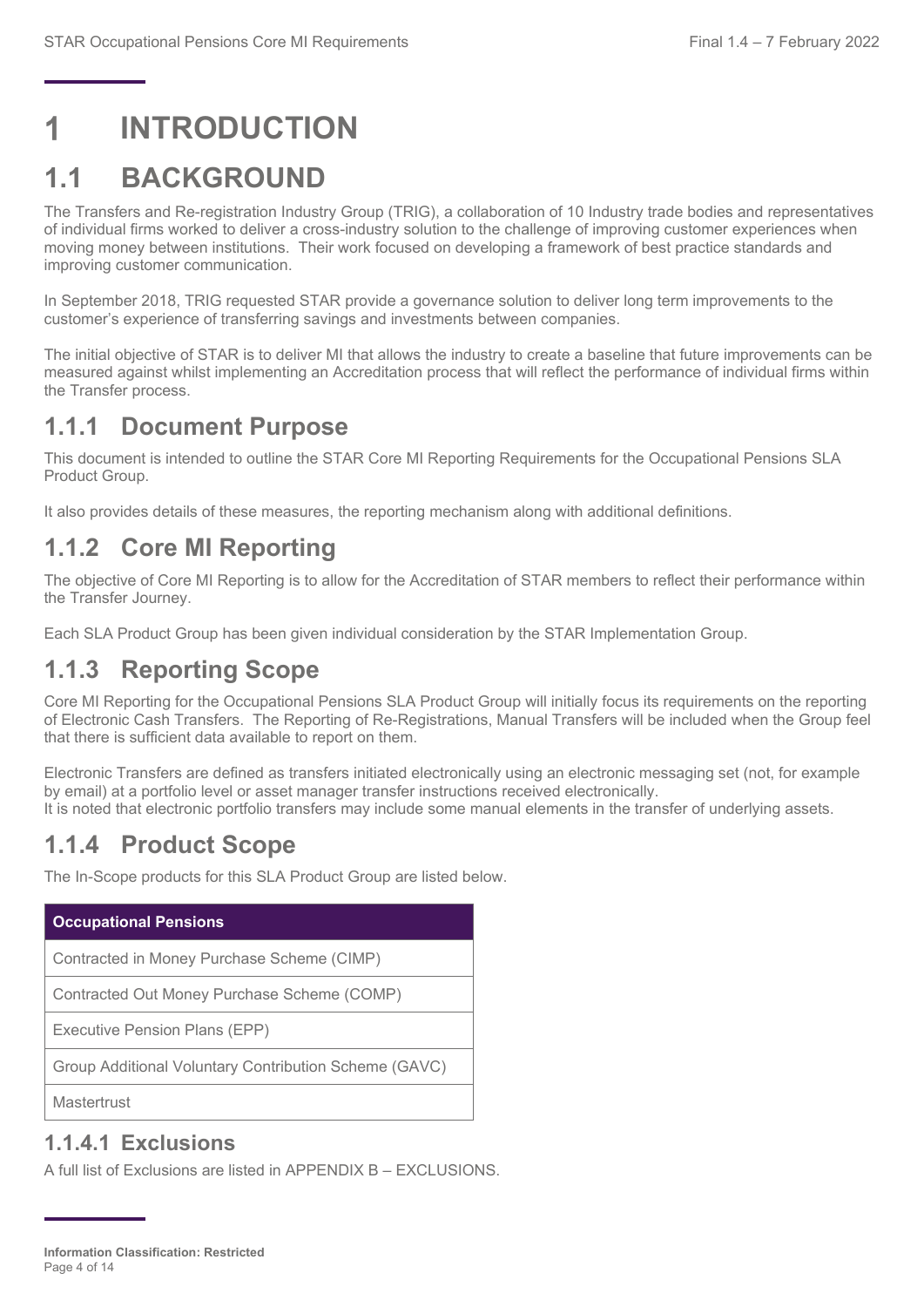## <span id="page-3-0"></span>**INTRODUCTION**

## <span id="page-3-1"></span>**1.1 BACKGROUND**

The Transfers and Re-registration Industry Group (TRIG), a collaboration of 10 Industry trade bodies and representatives of individual firms worked to deliver a cross-industry solution to the challenge of improving customer experiences when moving money between institutions. Their work focused on developing a framework of best practice standards and improving customer communication.

In September 2018, TRIG requested STAR provide a governance solution to deliver long term improvements to the customer's experience of transferring savings and investments between companies.

The initial objective of STAR is to deliver MI that allows the industry to create a baseline that future improvements can be measured against whilst implementing an Accreditation process that will reflect the performance of individual firms within the Transfer process.

## **1.1.1 Document Purpose**

This document is intended to outline the STAR Core MI Reporting Requirements for the Occupational Pensions SLA Product Group.

It also provides details of these measures, the reporting mechanism along with additional definitions.

## **1.1.2 Core MI Reporting**

The objective of Core MI Reporting is to allow for the Accreditation of STAR members to reflect their performance within the Transfer Journey.

Each SLA Product Group has been given individual consideration by the STAR Implementation Group.

### **1.1.3 Reporting Scope**

Core MI Reporting for the Occupational Pensions SLA Product Group will initially focus its requirements on the reporting of Electronic Cash Transfers. The Reporting of Re-Registrations, Manual Transfers will be included when the Group feel that there is sufficient data available to report on them.

Electronic Transfers are defined as transfers initiated electronically using an electronic messaging set (not, for example by email) at a portfolio level or asset manager transfer instructions received electronically. It is noted that electronic portfolio transfers may include some manual elements in the transfer of underlying assets.

### **1.1.4 Product Scope**

The In-Scope products for this SLA Product Group are listed below.

| <b>Occupational Pensions</b>                          |
|-------------------------------------------------------|
| Contracted in Money Purchase Scheme (CIMP)            |
| Contracted Out Money Purchase Scheme (COMP)           |
| Executive Pension Plans (EPP)                         |
| Group Additional Voluntary Contribution Scheme (GAVC) |
|                                                       |

**Mastertrust** 

#### **1.1.4.1 Exclusions**

A full list of Exclusions are listed in [APPENDIX B –](#page-13-0) EXCLUSIONS.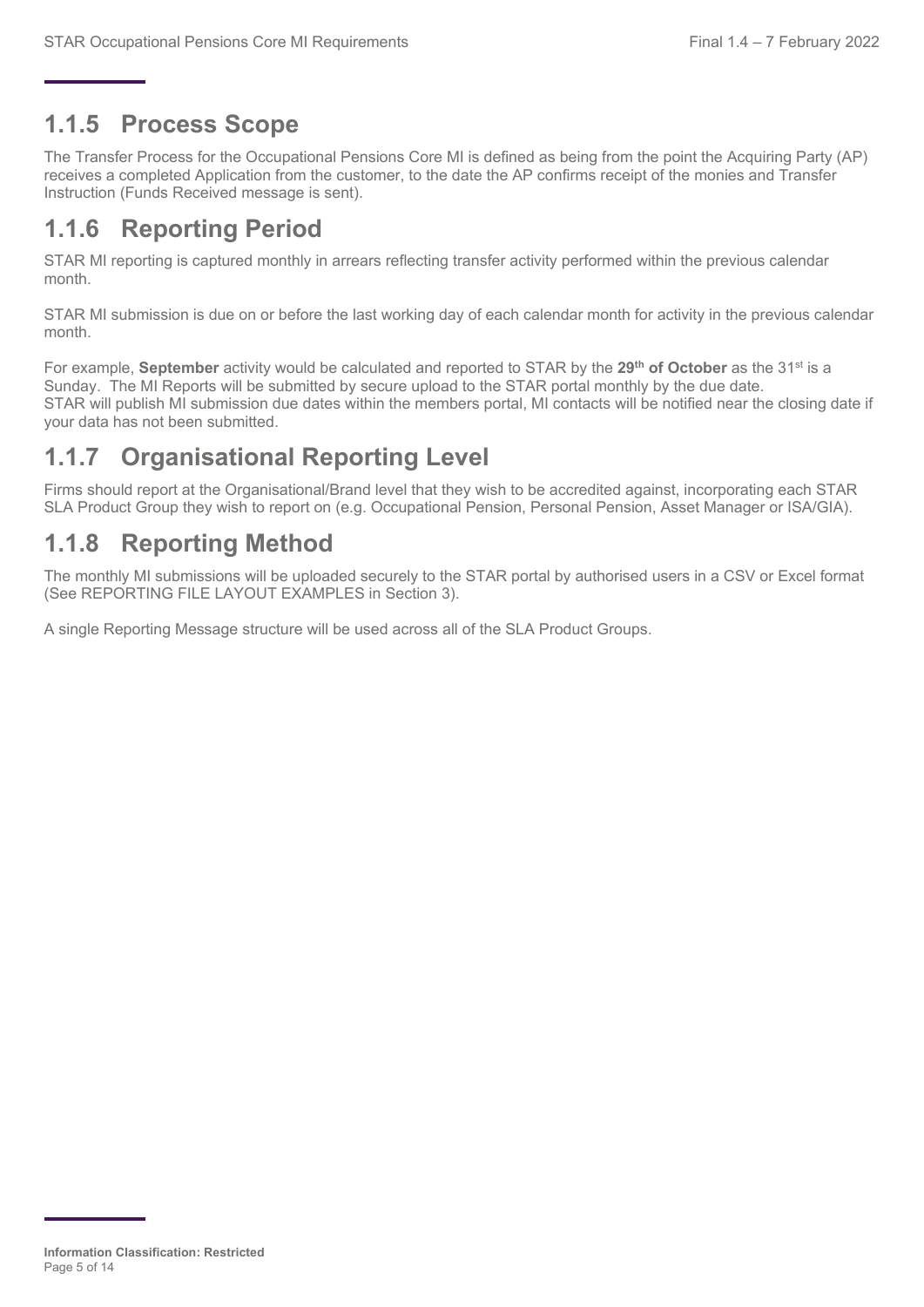### **1.1.5 Process Scope**

The Transfer Process for the Occupational Pensions Core MI is defined as being from the point the Acquiring Party (AP) receives a completed Application from the customer, to the date the AP confirms receipt of the monies and Transfer Instruction (Funds Received message is sent).

## **1.1.6 Reporting Period**

STAR MI reporting is captured monthly in arrears reflecting transfer activity performed within the previous calendar month.

STAR MI submission is due on or before the last working day of each calendar month for activity in the previous calendar month.

For example, **September** activity would be calculated and reported to STAR by the **29th of October** as the 31st is a Sunday. The MI Reports will be submitted by secure upload to the STAR portal monthly by the due date. STAR will publish MI submission due dates within the members portal, MI contacts will be notified near the closing date if your data has not been submitted.

## **1.1.7 Organisational Reporting Level**

Firms should report at the Organisational/Brand level that they wish to be accredited against, incorporating each STAR SLA Product Group they wish to report on (e.g. Occupational Pension, Personal Pension, Asset Manager or ISA/GIA).

## **1.1.8 Reporting Method**

The monthly MI submissions will be uploaded securely to the STAR portal by authorised users in a CSV or Excel format (See [REPORTING FILE LAYOUT EXAMPLES](#page-10-0) in Section 3).

A single Reporting Message structure will be used across all of the SLA Product Groups.

**Information Classification: Restricted** Page 5 of 14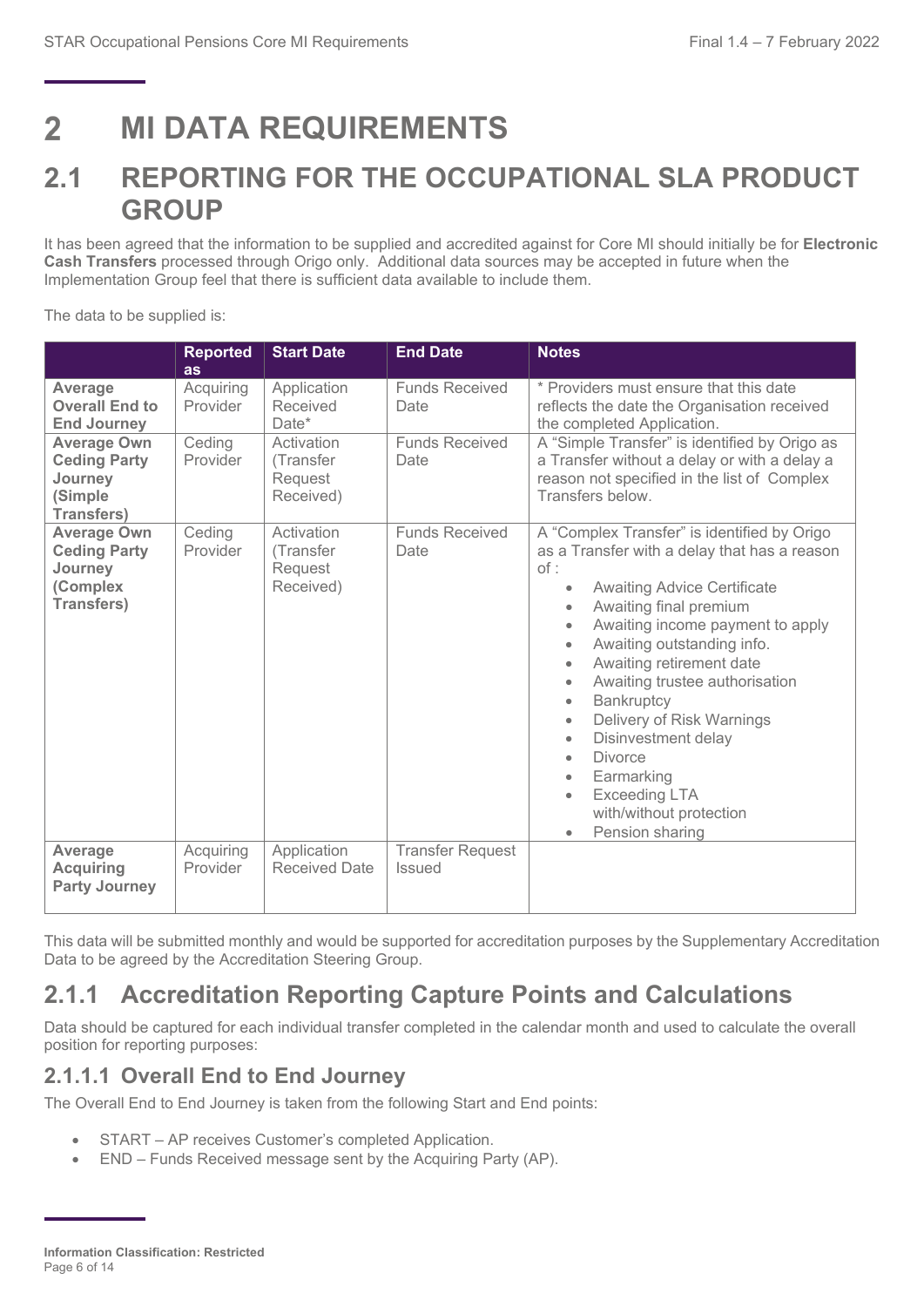#### <span id="page-5-0"></span>**MI DATA REQUIREMENTS**  $\mathbf{P}$

## <span id="page-5-1"></span>**2.1 REPORTING FOR THE OCCUPATIONAL SLA PRODUCT GROUP**

It has been agreed that the information to be supplied and accredited against for Core MI should initially be for **Electronic Cash Transfers** processed through Origo only. Additional data sources may be accepted in future when the Implementation Group feel that there is sufficient data available to include them.

The data to be supplied is:

|                                                                                       | <b>Reported</b><br><b>as</b> | <b>Start Date</b>                               | <b>End Date</b>                          | <b>Notes</b>                                                                                                                                                                                                                                                                                                                                                                                                                                                                                                                                                                                                   |  |  |  |  |  |
|---------------------------------------------------------------------------------------|------------------------------|-------------------------------------------------|------------------------------------------|----------------------------------------------------------------------------------------------------------------------------------------------------------------------------------------------------------------------------------------------------------------------------------------------------------------------------------------------------------------------------------------------------------------------------------------------------------------------------------------------------------------------------------------------------------------------------------------------------------------|--|--|--|--|--|
| Average<br><b>Overall End to</b><br><b>End Journey</b>                                | Acquiring<br>Provider        | Application<br>Received<br>Date*                | <b>Funds Received</b><br>Date            | * Providers must ensure that this date<br>reflects the date the Organisation received<br>the completed Application.                                                                                                                                                                                                                                                                                                                                                                                                                                                                                            |  |  |  |  |  |
| <b>Average Own</b><br><b>Ceding Party</b><br>Journey<br>(Simple<br><b>Transfers)</b>  | Ceding<br>Provider           | Activation<br>(Transfer<br>Request<br>Received) | <b>Funds Received</b><br>Date            | A "Simple Transfer" is identified by Origo as<br>a Transfer without a delay or with a delay a<br>reason not specified in the list of Complex<br>Transfers below.                                                                                                                                                                                                                                                                                                                                                                                                                                               |  |  |  |  |  |
| <b>Average Own</b><br><b>Ceding Party</b><br>Journey<br>(Complex<br><b>Transfers)</b> | Ceding<br>Provider           | Activation<br>(Transfer<br>Request<br>Received) | <b>Funds Received</b><br>Date            | A "Complex Transfer" is identified by Origo<br>as a Transfer with a delay that has a reason<br>of:<br><b>Awaiting Advice Certificate</b><br>$\bullet$<br>Awaiting final premium<br>$\bullet$<br>Awaiting income payment to apply<br>Awaiting outstanding info.<br>$\bullet$<br>Awaiting retirement date<br>$\bullet$<br>Awaiting trustee authorisation<br>$\bullet$<br>Bankruptcy<br>۰<br>Delivery of Risk Warnings<br>٠<br>Disinvestment delay<br>$\bullet$<br><b>Divorce</b><br>$\bullet$<br>Earmarking<br>$\bullet$<br><b>Exceeding LTA</b><br>$\bullet$<br>with/without protection<br>Pension sharing<br>٠ |  |  |  |  |  |
| Average<br><b>Acquiring</b><br><b>Party Journey</b>                                   | Acquiring<br>Provider        | Application<br><b>Received Date</b>             | <b>Transfer Request</b><br><b>Issued</b> |                                                                                                                                                                                                                                                                                                                                                                                                                                                                                                                                                                                                                |  |  |  |  |  |

This data will be submitted monthly and would be supported for accreditation purposes by the Supplementary Accreditation Data to be agreed by the Accreditation Steering Group.

## **2.1.1 Accreditation Reporting Capture Points and Calculations**

Data should be captured for each individual transfer completed in the calendar month and used to calculate the overall position for reporting purposes:

#### **2.1.1.1 Overall End to End Journey**

The Overall End to End Journey is taken from the following Start and End points:

- START AP receives Customer's completed Application.
- END Funds Received message sent by the Acquiring Party (AP).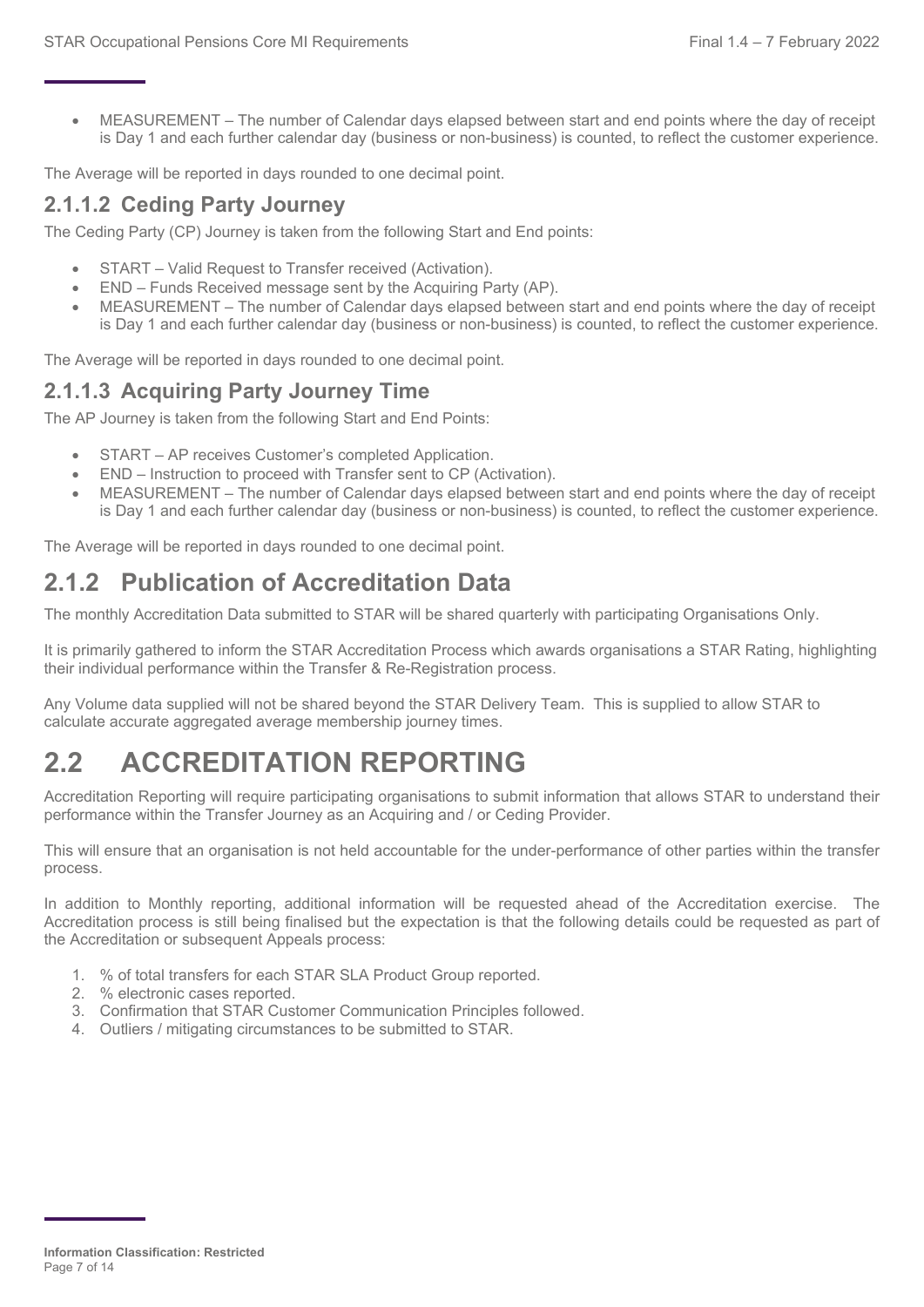• MEASUREMENT – The number of Calendar days elapsed between start and end points where the day of receipt is Day 1 and each further calendar day (business or non-business) is counted, to reflect the customer experience.

The Average will be reported in days rounded to one decimal point.

#### **2.1.1.2 Ceding Party Journey**

The Ceding Party (CP) Journey is taken from the following Start and End points:

- START Valid Request to Transfer received (Activation).
- END Funds Received message sent by the Acquiring Party (AP).
- MEASUREMENT The number of Calendar days elapsed between start and end points where the day of receipt is Day 1 and each further calendar day (business or non-business) is counted, to reflect the customer experience.

The Average will be reported in days rounded to one decimal point.

#### **2.1.1.3 Acquiring Party Journey Time**

The AP Journey is taken from the following Start and End Points:

- START AP receives Customer's completed Application.
- END Instruction to proceed with Transfer sent to CP (Activation).
- MEASUREMENT The number of Calendar days elapsed between start and end points where the day of receipt is Day 1 and each further calendar day (business or non-business) is counted, to reflect the customer experience.

The Average will be reported in days rounded to one decimal point.

## **2.1.2 Publication of Accreditation Data**

The monthly Accreditation Data submitted to STAR will be shared quarterly with participating Organisations Only.

It is primarily gathered to inform the STAR Accreditation Process which awards organisations a STAR Rating, highlighting their individual performance within the Transfer & Re-Registration process.

Any Volume data supplied will not be shared beyond the STAR Delivery Team. This is supplied to allow STAR to calculate accurate aggregated average membership journey times.

## <span id="page-6-0"></span>**2.2 ACCREDITATION REPORTING**

Accreditation Reporting will require participating organisations to submit information that allows STAR to understand their performance within the Transfer Journey as an Acquiring and / or Ceding Provider.

This will ensure that an organisation is not held accountable for the under-performance of other parties within the transfer process.

In addition to Monthly reporting, additional information will be requested ahead of the Accreditation exercise. The Accreditation process is still being finalised but the expectation is that the following details could be requested as part of the Accreditation or subsequent Appeals process:

- 1. % of total transfers for each STAR SLA Product Group reported.
- 2. % electronic cases reported.
- 3. Confirmation that STAR Customer Communication Principles followed.
- 4. Outliers / mitigating circumstances to be submitted to STAR.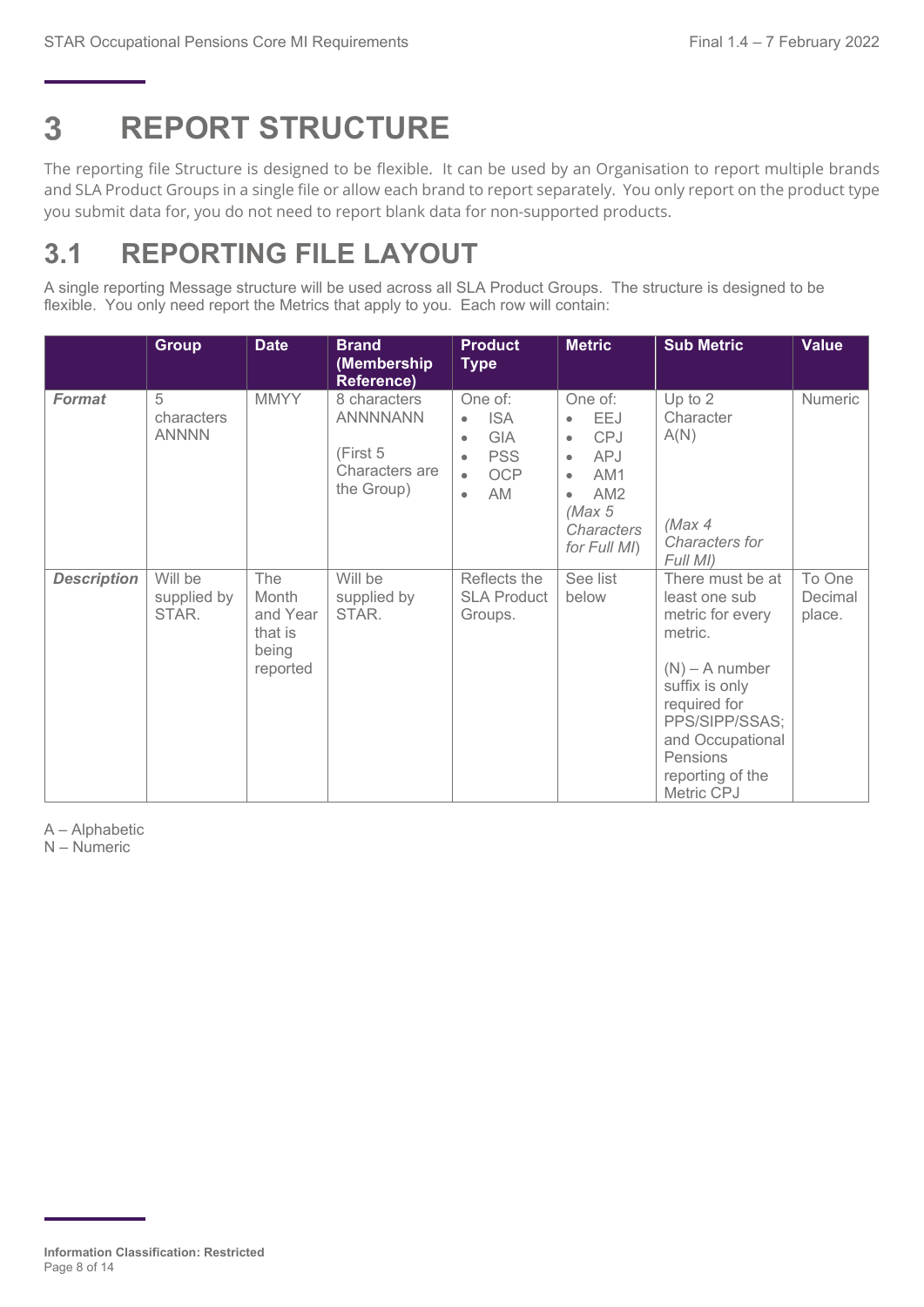#### <span id="page-7-0"></span>3 **REPORT STRUCTURE**

The reporting file Structure is designed to be flexible. It can be used by an Organisation to report multiple brands and SLA Product Groups in a single file or allow each brand to report separately. You only report on the product type you submit data for, you do not need to report blank data for non-supported products.

## <span id="page-7-1"></span>**3.1 REPORTING FILE LAYOUT**

A single reporting Message structure will be used across all SLA Product Groups. The structure is designed to be flexible. You only need report the Metrics that apply to you. Each row will contain:

|                    | <b>Group</b>                    | <b>Date</b>                                              | <b>Brand</b><br>(Membership<br><b>Reference)</b>                                                                                                                                                                      | <b>Product</b><br><b>Type</b>                 | <b>Metric</b>                                                                                                                                                                  | <b>Sub Metric</b>                                                                                                                                                                                          | <b>Value</b>                |
|--------------------|---------------------------------|----------------------------------------------------------|-----------------------------------------------------------------------------------------------------------------------------------------------------------------------------------------------------------------------|-----------------------------------------------|--------------------------------------------------------------------------------------------------------------------------------------------------------------------------------|------------------------------------------------------------------------------------------------------------------------------------------------------------------------------------------------------------|-----------------------------|
| <b>Format</b>      | 5<br>characters<br><b>ANNNN</b> | <b>MMYY</b>                                              | 8 characters<br>One of:<br><b>ANNNNANN</b><br><b>ISA</b><br>$\bullet$<br><b>GIA</b><br>$\bullet$<br>(First 5<br><b>PSS</b><br>$\bullet$<br>Characters are<br><b>OCP</b><br>$\bullet$<br>the Group)<br>AM<br>$\bullet$ |                                               | One of:<br>EEJ<br>$\bullet$<br><b>CPJ</b><br>$\bullet$<br><b>APJ</b><br>$\bullet$<br>AM1<br>$\bullet$<br>AM <sub>2</sub><br>$\bullet$<br>(Max 5)<br>Characters<br>for Full MI) | Numeric                                                                                                                                                                                                    |                             |
| <b>Description</b> | Will be<br>supplied by<br>STAR. | The<br>Month<br>and Year<br>that is<br>being<br>reported | Will be<br>supplied by<br>STAR.                                                                                                                                                                                       | Reflects the<br><b>SLA Product</b><br>Groups. | See list<br>below                                                                                                                                                              | There must be at<br>least one sub<br>metric for every<br>metric.<br>$(N)$ – A number<br>suffix is only<br>required for<br>PPS/SIPP/SSAS;<br>and Occupational<br>Pensions<br>reporting of the<br>Metric CPJ | To One<br>Decimal<br>place. |

A – Alphabetic

N – Numeric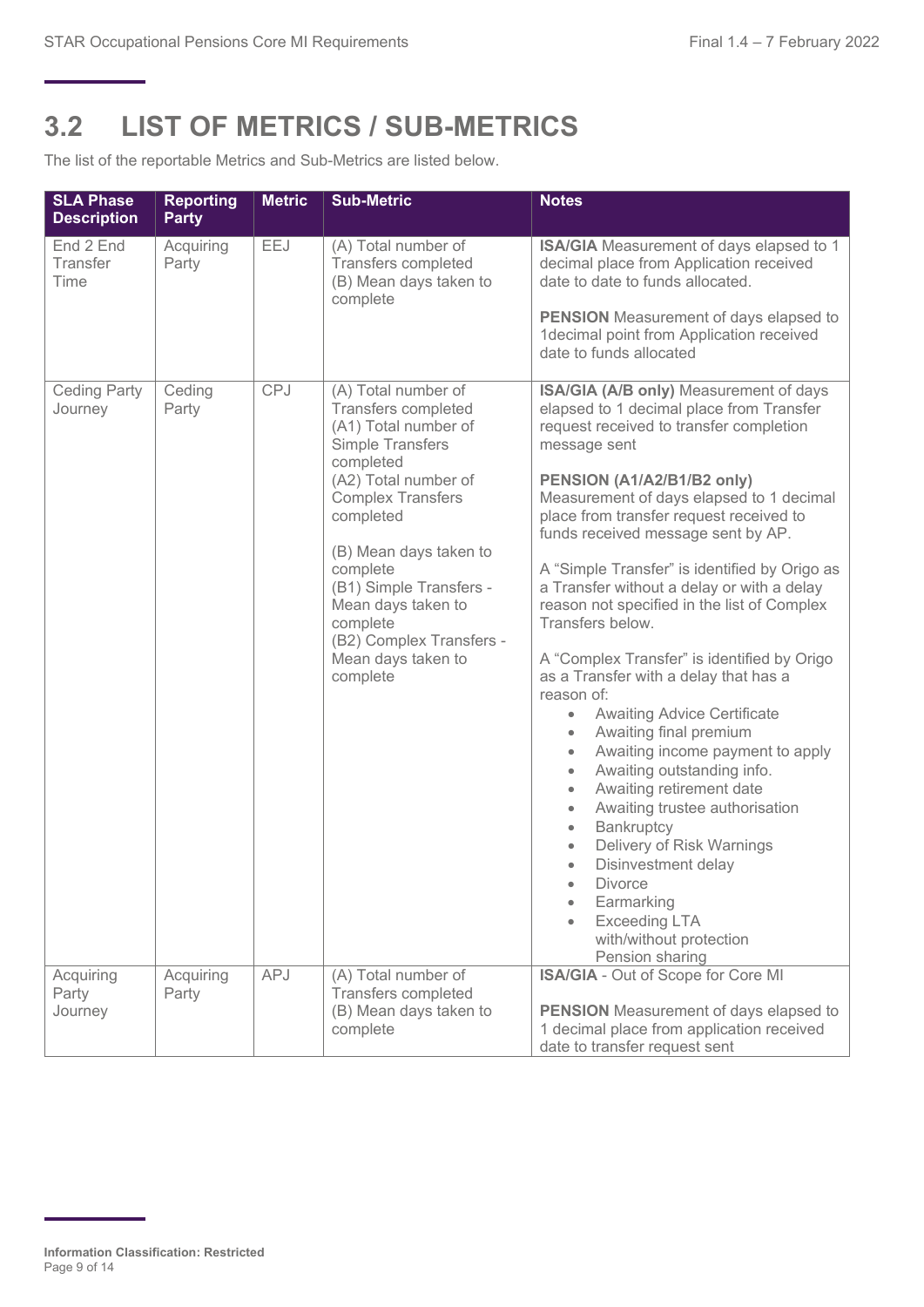## <span id="page-8-0"></span>**3.2 LIST OF METRICS / SUB-METRICS**

The list of the reportable Metrics and Sub-Metrics are listed below.

| <b>SLA Phase</b><br><b>Description</b> | <b>Reporting</b><br><b>Party</b> | <b>Metric</b> | <b>Sub-Metric</b>                                                                                                                                                                                                                                                                                                                     | <b>Notes</b>                                                                                                                                                                                                                                                                                                                                                                                                                                                                                                                                                                                                                                                                                                                                                                                                                                                                                                                                                                                                       |
|----------------------------------------|----------------------------------|---------------|---------------------------------------------------------------------------------------------------------------------------------------------------------------------------------------------------------------------------------------------------------------------------------------------------------------------------------------|--------------------------------------------------------------------------------------------------------------------------------------------------------------------------------------------------------------------------------------------------------------------------------------------------------------------------------------------------------------------------------------------------------------------------------------------------------------------------------------------------------------------------------------------------------------------------------------------------------------------------------------------------------------------------------------------------------------------------------------------------------------------------------------------------------------------------------------------------------------------------------------------------------------------------------------------------------------------------------------------------------------------|
| End 2 End<br>Transfer<br>Time          | Acquiring<br>Party               | EEJ           | (A) Total number of<br><b>Transfers completed</b><br>(B) Mean days taken to<br>complete                                                                                                                                                                                                                                               | ISA/GIA Measurement of days elapsed to 1<br>decimal place from Application received<br>date to date to funds allocated.<br><b>PENSION</b> Measurement of days elapsed to<br>1decimal point from Application received<br>date to funds allocated                                                                                                                                                                                                                                                                                                                                                                                                                                                                                                                                                                                                                                                                                                                                                                    |
| <b>Ceding Party</b><br>Journey         | Ceding<br>Party                  | CPJ           | (A) Total number of<br>Transfers completed<br>(A1) Total number of<br>Simple Transfers<br>completed<br>(A2) Total number of<br><b>Complex Transfers</b><br>completed<br>(B) Mean days taken to<br>complete<br>(B1) Simple Transfers -<br>Mean days taken to<br>complete<br>(B2) Complex Transfers -<br>Mean days taken to<br>complete | ISA/GIA (A/B only) Measurement of days<br>elapsed to 1 decimal place from Transfer<br>request received to transfer completion<br>message sent<br>PENSION (A1/A2/B1/B2 only)<br>Measurement of days elapsed to 1 decimal<br>place from transfer request received to<br>funds received message sent by AP.<br>A "Simple Transfer" is identified by Origo as<br>a Transfer without a delay or with a delay<br>reason not specified in the list of Complex<br>Transfers below.<br>A "Complex Transfer" is identified by Origo<br>as a Transfer with a delay that has a<br>reason of:<br><b>Awaiting Advice Certificate</b><br>$\bullet$<br>Awaiting final premium<br>Awaiting income payment to apply<br>Awaiting outstanding info.<br>Awaiting retirement date<br>Awaiting trustee authorisation<br>$\bullet$<br>Bankruptcy<br>$\bullet$<br>Delivery of Risk Warnings<br>$\bullet$<br>Disinvestment delay<br>$\bullet$<br>Divorce<br>Earmarking<br><b>Exceeding LTA</b><br>with/without protection<br>Pension sharing |
| Acquiring<br>Party<br>Journey          | Acquiring<br>Party               | APJ           | (A) Total number of<br>Transfers completed<br>(B) Mean days taken to<br>complete                                                                                                                                                                                                                                                      | ISA/GIA - Out of Scope for Core MI<br><b>PENSION</b> Measurement of days elapsed to<br>1 decimal place from application received<br>date to transfer request sent                                                                                                                                                                                                                                                                                                                                                                                                                                                                                                                                                                                                                                                                                                                                                                                                                                                  |

**Information Classification: Restricted** Page 9 of 14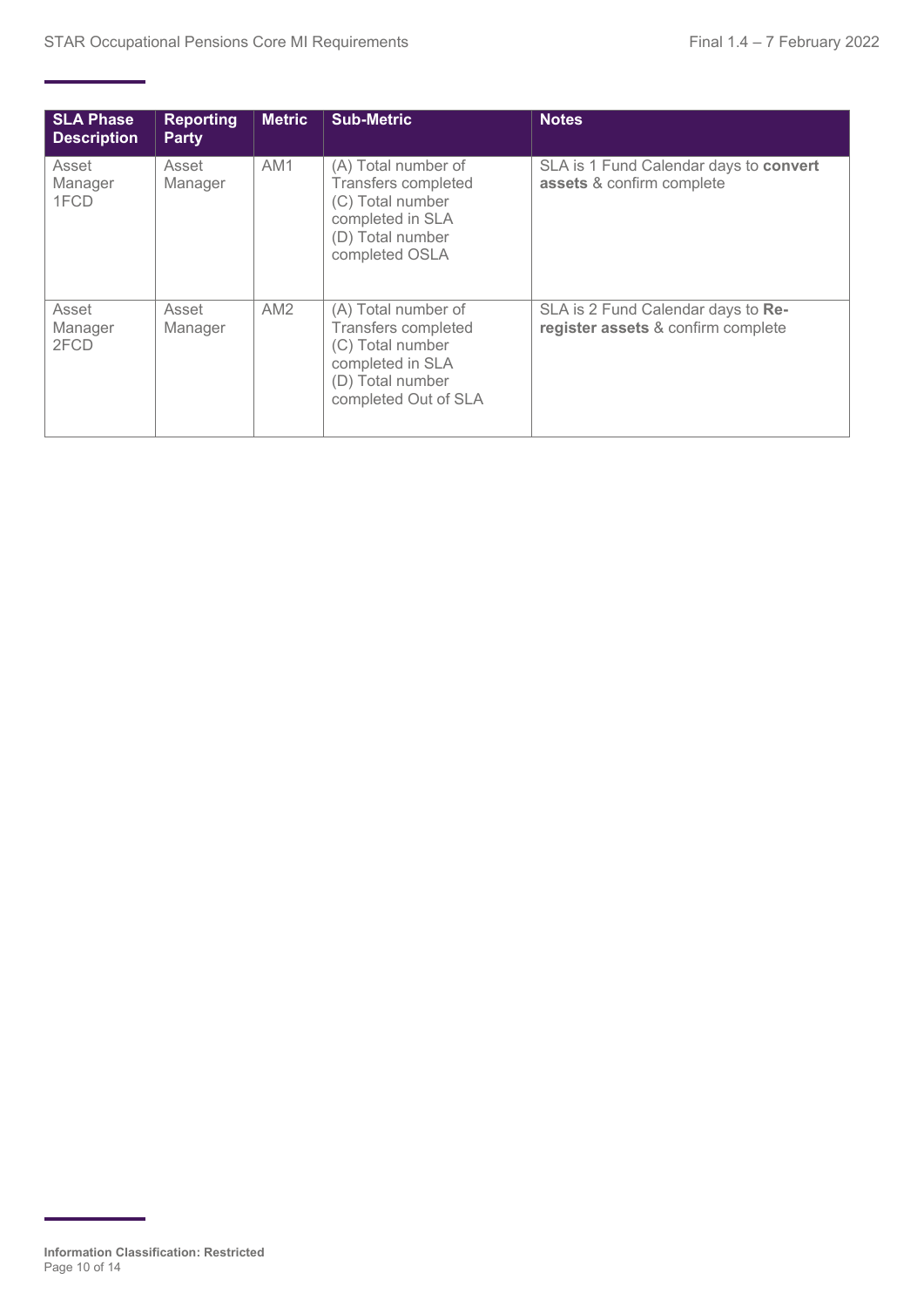| <b>SLA Phase</b><br><b>Description</b> | <b>Reporting</b><br><b>Party</b> | <b>Metric</b>   | <b>Sub-Metric</b>                                                                                                               | <b>Notes</b>                                                             |
|----------------------------------------|----------------------------------|-----------------|---------------------------------------------------------------------------------------------------------------------------------|--------------------------------------------------------------------------|
| Asset<br>Manager<br>1FCD               | Asset<br>Manager                 | AM <sub>1</sub> | (A) Total number of<br><b>Transfers completed</b><br>(C) Total number<br>completed in SLA<br>(D) Total number<br>completed OSLA | SLA is 1 Fund Calendar days to convert<br>assets & confirm complete      |
| Asset<br>Manager<br>2FCD               | Asset<br>Manager                 | AM <sub>2</sub> | (A) Total number of<br>Transfers completed<br>(C) Total number<br>completed in SLA<br>(D) Total number<br>completed Out of SLA  | SLA is 2 Fund Calendar days to Re-<br>register assets & confirm complete |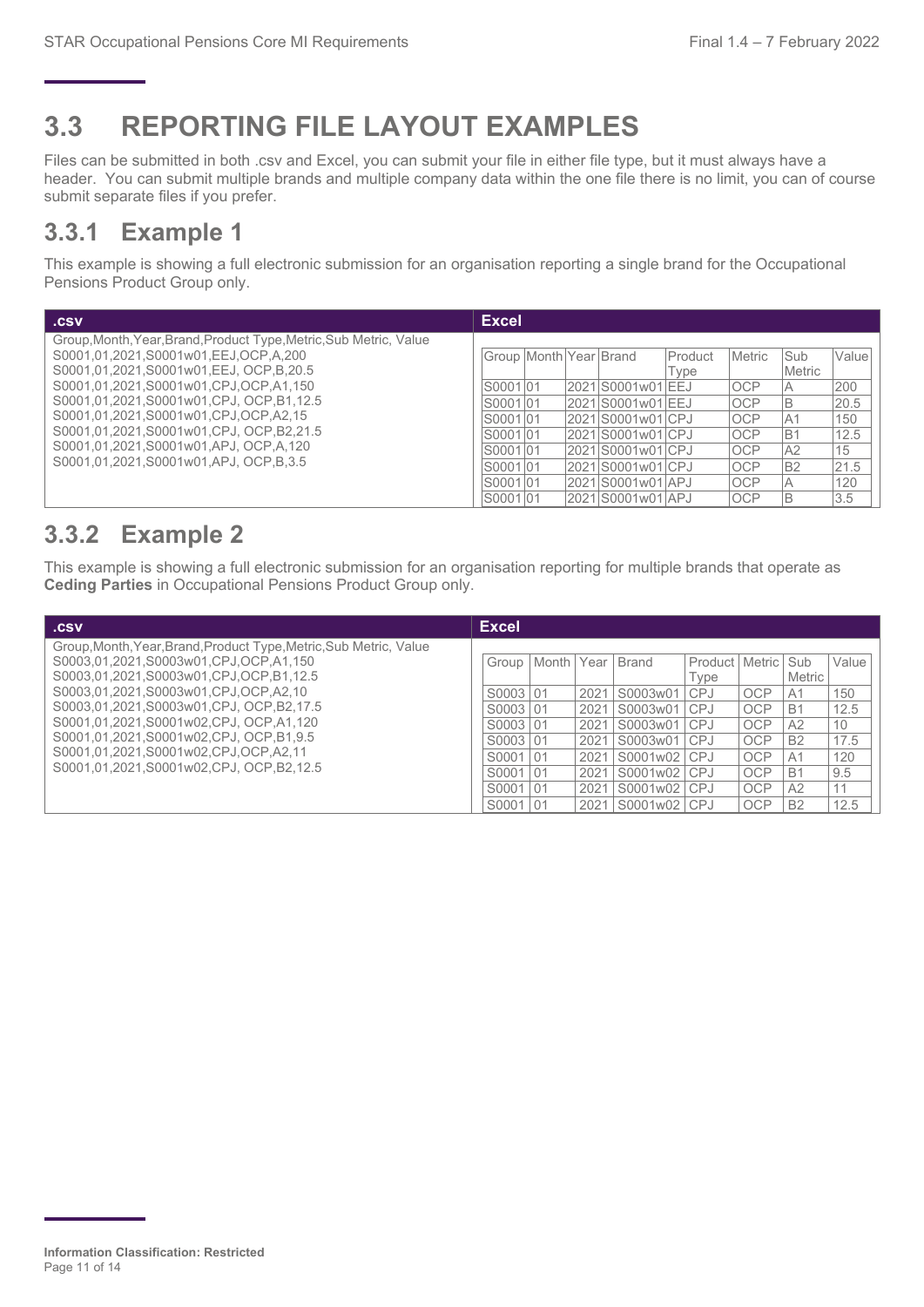## <span id="page-10-0"></span>**3.3 REPORTING FILE LAYOUT EXAMPLES**

Files can be submitted in both .csv and Excel, you can submit your file in either file type, but it must always have a header. You can submit multiple brands and multiple company data within the one file there is no limit, you can of course submit separate files if you prefer.

### **3.3.1 Example 1**

This example is showing a full electronic submission for an organisation reporting a single brand for the Occupational Pensions Product Group only.

| .csv                                                                                                                                                 | <b>Excel</b>           |  |                                            |                        |                          |                       |             |
|------------------------------------------------------------------------------------------------------------------------------------------------------|------------------------|--|--------------------------------------------|------------------------|--------------------------|-----------------------|-------------|
| Group, Month, Year, Brand, Product Type, Metric, Sub Metric, Value<br>S0001.01.2021.S0001w01.EEJ.OCP.A.200<br>S0001.01.2021.S0001w01.EEJ. OCP.B.20.5 | Group Month Year Brand |  |                                            | <b>Product</b><br>Type | Metric                   | <b>Sub</b><br>lMetric | Value       |
| S0001.01.2021.S0001w01.CPJ.OCP.A1.150<br>S0001,01,2021,S0001w01,CPJ, OCP,B1,12.5                                                                     | S0001 01<br>S0001 01   |  | 2021 S0001 w 01 EEJ<br>2021 S0001 w 01 EEJ |                        | <b>OCP</b><br><b>OCP</b> | lΒ                    | 200<br>20.5 |
| S0001,01,2021,S0001w01,CPJ,OCP,A2,15                                                                                                                 | S0001 01               |  | 2021 S0001 w01 CPJ                         |                        | <b>IOCP</b>              | IA1                   | 150         |
| S0001.01.2021.S0001w01.CPJ. OCP.B2.21.5                                                                                                              | S0001 01               |  | 2021 S0001 w01 CPJ                         |                        | <b>OCP</b>               | IB1                   | 12.5        |
| S0001,01,2021,S0001w01,APJ, OCP,A,120<br>S0001.01.2021.S0001w01.APJ. OCP.B.3.5                                                                       | IS0001I01              |  | 2021 S0001 w01 CPJ                         |                        | <b>OCP</b>               | IA2                   | 15          |
|                                                                                                                                                      | S0001 01               |  | 2021 S0001 w01 CPJ                         |                        | <b>OCP</b>               | B <sub>2</sub>        | 21.5        |
|                                                                                                                                                      | S0001 01               |  | 2021 S0001 w01 APJ                         |                        | <b>OCP</b>               |                       | 120         |
|                                                                                                                                                      | IS0001I01              |  | 2021 S0001 w01 APJ                         |                        | <b>OCP</b>               |                       | 3.5         |

## **3.3.2 Example 2**

This example is showing a full electronic submission for an organisation reporting for multiple brands that operate as **Ceding Parties** in Occupational Pensions Product Group only.

| .csv                                                                                                                                                  | <b>Excel</b>         |    |       |              |                              |                         |            |                      |             |
|-------------------------------------------------------------------------------------------------------------------------------------------------------|----------------------|----|-------|--------------|------------------------------|-------------------------|------------|----------------------|-------------|
| Group, Month, Year, Brand, Product Type, Metric, Sub Metric, Value<br>S0003.01.2021.S0003w01.CPJ.OCP.A1.150<br>S0003.01.2021.S0003w01.CPJ.OCP.B1.12.5 | Group I              |    | Month |              | Year   Brand                 | Product   Metric<br>vpe |            | Sub<br><b>Metric</b> | Value       |
| S0003.01.2021.S0003w01.CPJ.OCP.A2.10<br>S0003.01.2021.S0003w01.CPJ, OCP.B2.17.5                                                                       | S0003 01<br>S0003 01 |    |       | 2021<br>2021 | S0003w01 CPJ<br>S0003w01 CPJ |                         | OCP<br>OCP | A1<br><b>B1</b>      | 150<br>12.5 |
| S0001.01.2021.S0001w02.CPJ, OCP.A1.120                                                                                                                | S0003101             |    |       | 2021         | S0003w01                     | <b>CPJ</b>              | OCP        | A2                   | 10          |
| S0001.01.2021.S0001w02.CPJ. OCP.B1.9.5                                                                                                                | S0003 01             |    |       | 2021         | S0003w01                     | CPJ                     | OCP        | <b>B2</b>            | 17.5        |
| S0001,01,2021,S0001w02,CPJ,OCP,A2,11                                                                                                                  | S0001 01             |    |       | 2021         | S0001w02 CPJ                 |                         | OCP        | A <sub>1</sub>       | 120         |
| S0001.01.2021.S0001w02.CPJ. OCP.B2.12.5                                                                                                               | S0001                | 01 |       | 2021         | S0001w02 CPJ                 |                         | OCP        | <b>B1</b>            | 9.5         |
|                                                                                                                                                       | S0001                | 01 |       | 2021         | S0001w02 CPJ                 |                         | OCP        | A2                   | 11          |
|                                                                                                                                                       | S0001                | 01 |       |              | 2021 S0001w02 CPJ            |                         | <b>OCP</b> | <b>B2</b>            | 12.5        |

**Information Classification: Restricted** Page 11 of 14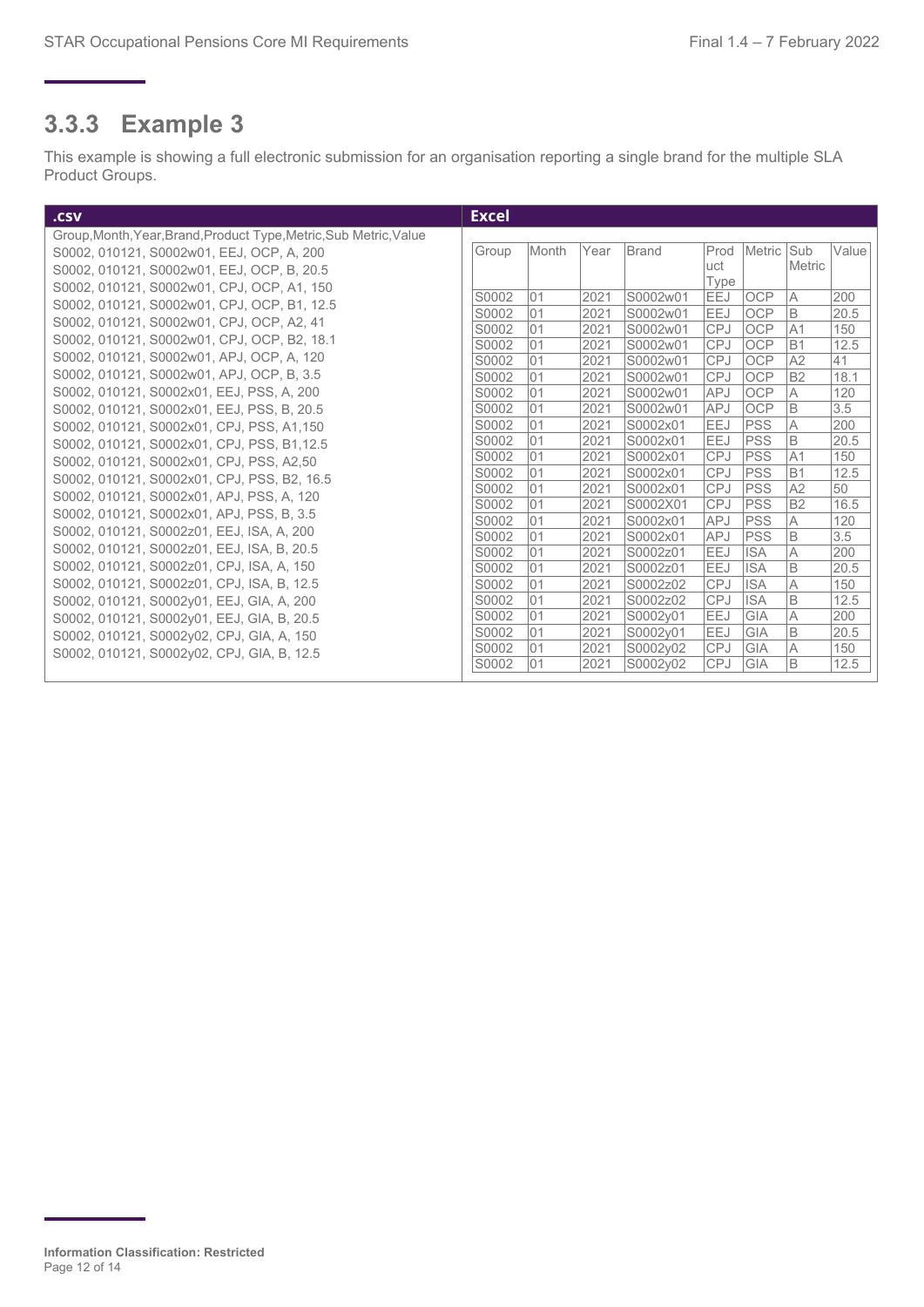## **3.3.3 Example 3**

This example is showing a full electronic submission for an organisation reporting a single brand for the multiple SLA Product Groups.

| .csv                                                               | <b>Excel</b> |                |          |              |                      |                          |                   |                      |            |
|--------------------------------------------------------------------|--------------|----------------|----------|--------------|----------------------|--------------------------|-------------------|----------------------|------------|
| Group, Month, Year, Brand, Product Type, Metric, Sub Metric, Value |              |                |          |              |                      |                          |                   |                      |            |
| S0002, 010121, S0002w01, EEJ, OCP, A, 200                          |              | Group          | Month    | Year         | Brand                | Prod                     | Metric Sub        |                      | Value      |
| S0002, 010121, S0002w01, EEJ, OCP, B, 20.5                         |              |                |          |              |                      | uct                      |                   | Metric               |            |
| S0002, 010121, S0002w01, CPJ, OCP, A1, 150                         |              |                |          |              |                      | Type                     |                   |                      |            |
| S0002, 010121, S0002w01, CPJ, OCP, B1, 12.5                        |              | S0002          | 01       | 2021         | S0002w01             | EEJ                      | <b>OCP</b>        | $\overline{A}$       | 200        |
| S0002, 010121, S0002w01, CPJ, OCP, A2, 41                          |              | S0002          | 01       | 2021         | S0002w01             | EEJ                      | OCP               | B                    | 20.5       |
| S0002, 010121, S0002w01, CPJ, OCP, B2, 18.1                        |              | S0002          | 01       | 2021         | S0002w01             | <b>CPJ</b>               | OCP               | A <sub>1</sub>       | 150        |
| S0002, 010121, S0002w01, APJ, OCP, A, 120                          |              | S0002<br>S0002 | 01<br>01 | 2021<br>2021 | S0002w01<br>S0002w01 | <b>CPJ</b><br><b>CPJ</b> | <b>OCP</b>        | B <sub>1</sub><br>A2 | 12.5<br>41 |
| S0002, 010121, S0002w01, APJ, OCP, B, 3.5                          |              | S0002          | 01       | 2021         | S0002w01             | <b>CPJ</b>               | OCP<br><b>OCP</b> | B <sub>2</sub>       | 18.1       |
| S0002, 010121, S0002x01, EEJ, PSS, A, 200                          |              | S0002          | 01       | 2021         | S0002w01             | <b>APJ</b>               | <b>OCP</b>        | A                    | 120        |
| S0002, 010121, S0002x01, EEJ, PSS, B, 20.5                         |              | S0002          | 01       | 2021         | S0002w01             | <b>APJ</b>               | <b>OCP</b>        | B                    | 3.5        |
| S0002, 010121, S0002x01, CPJ, PSS, A1,150                          |              | S0002          | 01       | 2021         | S0002x01             | EEJ                      | <b>PSS</b>        | A                    | 200        |
| S0002, 010121, S0002x01, CPJ, PSS, B1,12.5                         |              | S0002          | 01       | 2021         | S0002x01             | <b>EEJ</b>               | <b>PSS</b>        | B                    | 20.5       |
|                                                                    |              | S0002          | 01       | 2021         | S0002x01             | <b>CPJ</b>               | <b>PSS</b>        | A <sub>1</sub>       | 150        |
| S0002, 010121, S0002x01, CPJ, PSS, A2,50                           |              | S0002          | 01       | 2021         | S0002x01             | <b>CPJ</b>               | <b>PSS</b>        | B1                   | 12.5       |
| S0002, 010121, S0002x01, CPJ, PSS, B2, 16.5                        |              | S0002          | 01       | 2021         | S0002x01             | <b>CPJ</b>               | <b>PSS</b>        | A2                   | 50         |
| S0002, 010121, S0002x01, APJ, PSS, A, 120                          |              | S0002          | 01       | 2021         | S0002X01             | <b>CPJ</b>               | <b>PSS</b>        | B <sub>2</sub>       | 16.5       |
| S0002, 010121, S0002x01, APJ, PSS, B, 3.5                          |              | S0002          | 01       | 2021         | S0002x01             | <b>APJ</b>               | <b>PSS</b>        | A                    | 120        |
| S0002, 010121, S0002z01, EEJ, ISA, A, 200                          |              | S0002          | 01       | 2021         | S0002x01             | <b>APJ</b>               | <b>PSS</b>        | B                    | 3.5        |
| S0002, 010121, S0002z01, EEJ, ISA, B, 20.5                         |              | S0002          | 01       | 2021         | S0002z01             | EEJ                      | <b>ISA</b>        | A                    | 200        |
| S0002, 010121, S0002z01, CPJ, ISA, A, 150                          |              | S0002          | 01       | 2021         | S0002z01             | EEJ                      | <b>ISA</b>        | B                    | 20.5       |
| S0002, 010121, S0002z01, CPJ, ISA, B, 12.5                         |              | S0002          | 01       | 2021         | S0002z02             | <b>CPJ</b>               | <b>ISA</b>        | A                    | 150        |
| S0002, 010121, S0002y01, EEJ, GIA, A, 200                          |              | S0002          | 01       | 2021         | S0002z02             | <b>CPJ</b>               | <b>ISA</b>        | B                    | 12.5       |
| S0002, 010121, S0002y01, EEJ, GIA, B, 20.5                         |              | S0002          | 01       | 2021         | S0002v01             | <b>EEJ</b>               | <b>GIA</b>        | $\overline{A}$       | 200        |
| S0002, 010121, S0002y02, CPJ, GIA, A, 150                          |              | S0002          | 01       | 2021         | S0002v01             | EEJ                      | <b>GIA</b>        | B                    | 20.5       |
| S0002, 010121, S0002y02, CPJ, GIA, B, 12.5                         |              | S0002          | 01       | 2021         | S0002y02             | <b>CPJ</b>               | GIA               | A                    | 150        |
|                                                                    |              | S0002          | 01       | 2021         | S0002y02             | <b>CPJ</b>               | GIA               | B                    | 12.5       |

**Information Classification: Restricted** Page 12 of 14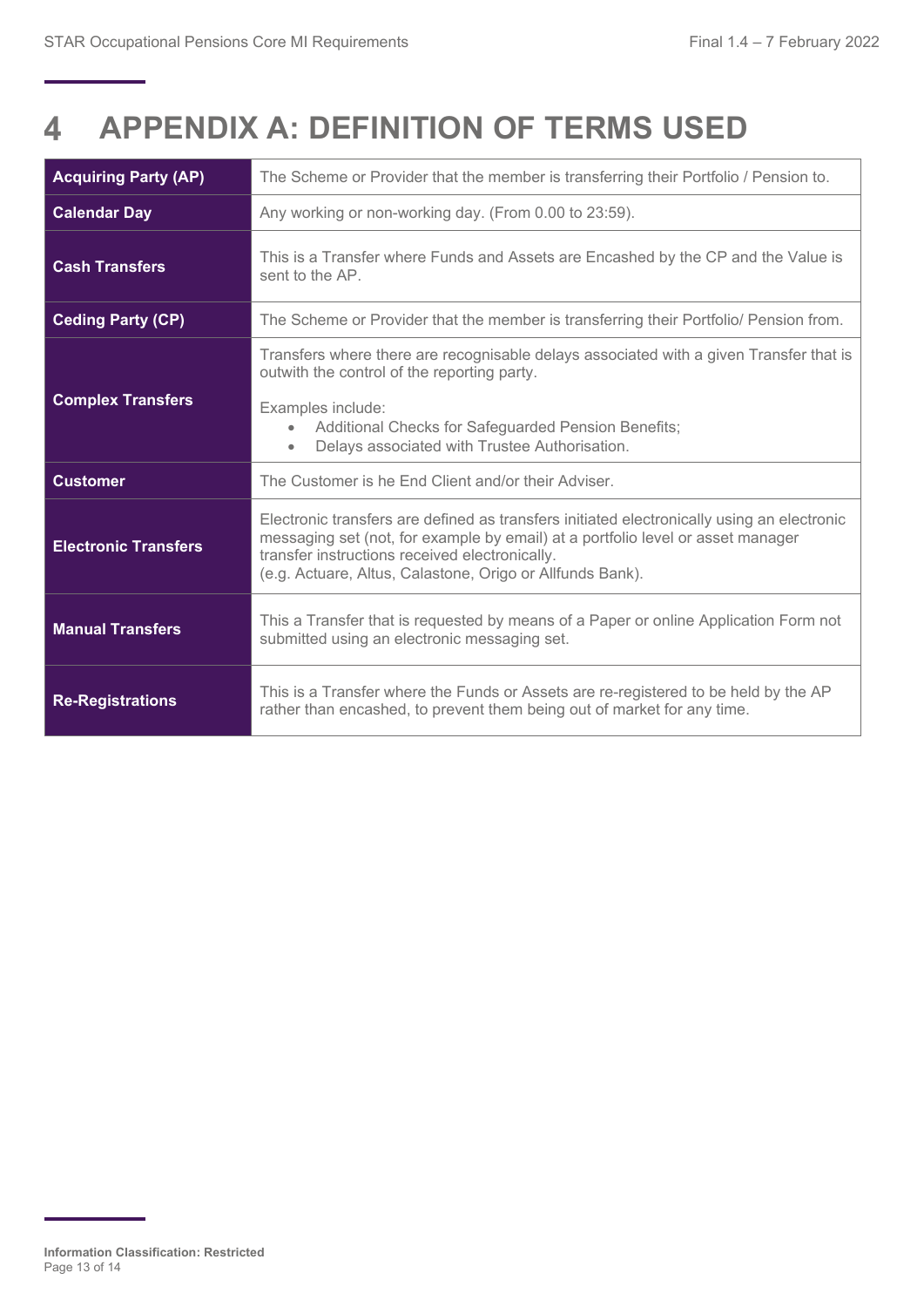#### <span id="page-12-0"></span>**APPENDIX A: DEFINITION OF TERMS USED**   $\blacktriangle$

| <b>Acquiring Party (AP)</b> | The Scheme or Provider that the member is transferring their Portfolio / Pension to.                                                                                                                                                                                                         |
|-----------------------------|----------------------------------------------------------------------------------------------------------------------------------------------------------------------------------------------------------------------------------------------------------------------------------------------|
| <b>Calendar Day</b>         | Any working or non-working day. (From 0.00 to 23:59).                                                                                                                                                                                                                                        |
| <b>Cash Transfers</b>       | This is a Transfer where Funds and Assets are Encashed by the CP and the Value is<br>sent to the AP.                                                                                                                                                                                         |
| <b>Ceding Party (CP)</b>    | The Scheme or Provider that the member is transferring their Portfolio/ Pension from.                                                                                                                                                                                                        |
|                             | Transfers where there are recognisable delays associated with a given Transfer that is<br>outwith the control of the reporting party.                                                                                                                                                        |
| <b>Complex Transfers</b>    | Examples include:<br>Additional Checks for Safeguarded Pension Benefits;<br>$\bullet$<br>Delays associated with Trustee Authorisation.<br>$\bullet$                                                                                                                                          |
| <b>Customer</b>             | The Customer is he End Client and/or their Adviser.                                                                                                                                                                                                                                          |
| <b>Electronic Transfers</b> | Electronic transfers are defined as transfers initiated electronically using an electronic<br>messaging set (not, for example by email) at a portfolio level or asset manager<br>transfer instructions received electronically.<br>(e.g. Actuare, Altus, Calastone, Origo or Allfunds Bank). |
| <b>Manual Transfers</b>     | This a Transfer that is requested by means of a Paper or online Application Form not<br>submitted using an electronic messaging set.                                                                                                                                                         |
| <b>Re-Registrations</b>     | This is a Transfer where the Funds or Assets are re-registered to be held by the AP<br>rather than encashed, to prevent them being out of market for any time.                                                                                                                               |

**Information Classification: Restricted** Page 13 of 14